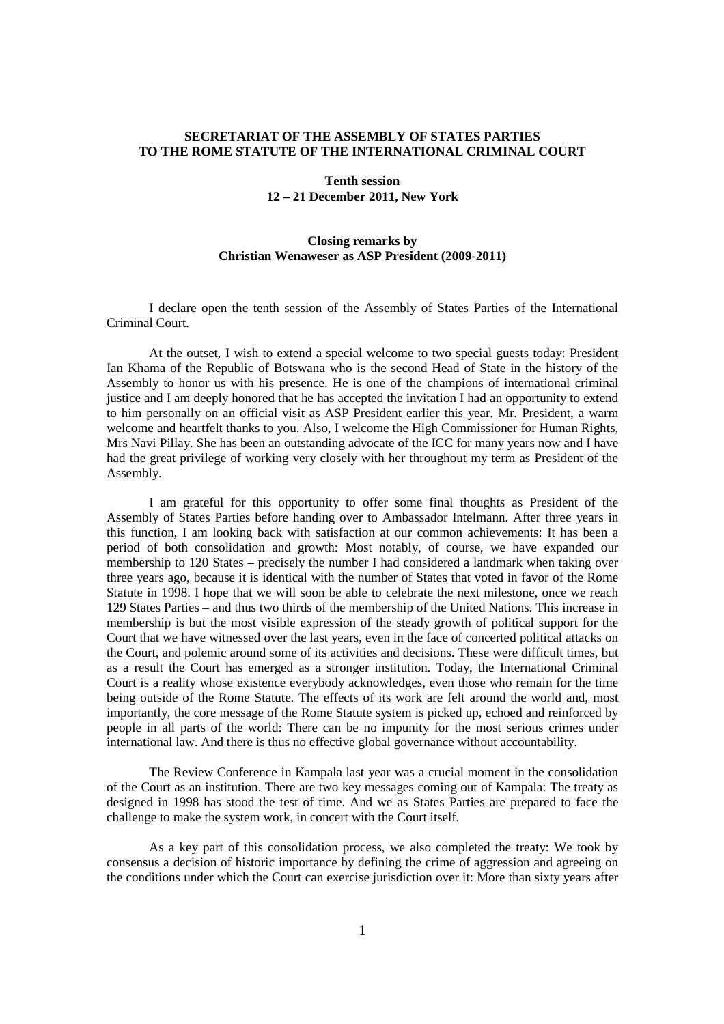## **SECRETARIAT OF THE ASSEMBLY OF STATES PARTIES TO THE ROME STATUTE OF THE INTERNATIONAL CRIMINAL COURT**

## **Tenth session 12 – 21 December 2011, New York**

## **Closing remarks by Christian Wenaweser as ASP President (2009-2011)**

I declare open the tenth session of the Assembly of States Parties of the International Criminal Court.

 At the outset, I wish to extend a special welcome to two special guests today: President Ian Khama of the Republic of Botswana who is the second Head of State in the history of the Assembly to honor us with his presence. He is one of the champions of international criminal justice and I am deeply honored that he has accepted the invitation I had an opportunity to extend to him personally on an official visit as ASP President earlier this year. Mr. President, a warm welcome and heartfelt thanks to you. Also, I welcome the High Commissioner for Human Rights, Mrs Navi Pillay. She has been an outstanding advocate of the ICC for many years now and I have had the great privilege of working very closely with her throughout my term as President of the Assembly.

I am grateful for this opportunity to offer some final thoughts as President of the Assembly of States Parties before handing over to Ambassador Intelmann. After three years in this function, I am looking back with satisfaction at our common achievements: It has been a period of both consolidation and growth: Most notably, of course, we have expanded our membership to 120 States – precisely the number I had considered a landmark when taking over three years ago, because it is identical with the number of States that voted in favor of the Rome Statute in 1998. I hope that we will soon be able to celebrate the next milestone, once we reach 129 States Parties – and thus two thirds of the membership of the United Nations. This increase in membership is but the most visible expression of the steady growth of political support for the Court that we have witnessed over the last years, even in the face of concerted political attacks on the Court, and polemic around some of its activities and decisions. These were difficult times, but as a result the Court has emerged as a stronger institution. Today, the International Criminal Court is a reality whose existence everybody acknowledges, even those who remain for the time being outside of the Rome Statute. The effects of its work are felt around the world and, most importantly, the core message of the Rome Statute system is picked up, echoed and reinforced by people in all parts of the world: There can be no impunity for the most serious crimes under international law. And there is thus no effective global governance without accountability.

The Review Conference in Kampala last year was a crucial moment in the consolidation of the Court as an institution. There are two key messages coming out of Kampala: The treaty as designed in 1998 has stood the test of time. And we as States Parties are prepared to face the challenge to make the system work, in concert with the Court itself.

As a key part of this consolidation process, we also completed the treaty: We took by consensus a decision of historic importance by defining the crime of aggression and agreeing on the conditions under which the Court can exercise jurisdiction over it: More than sixty years after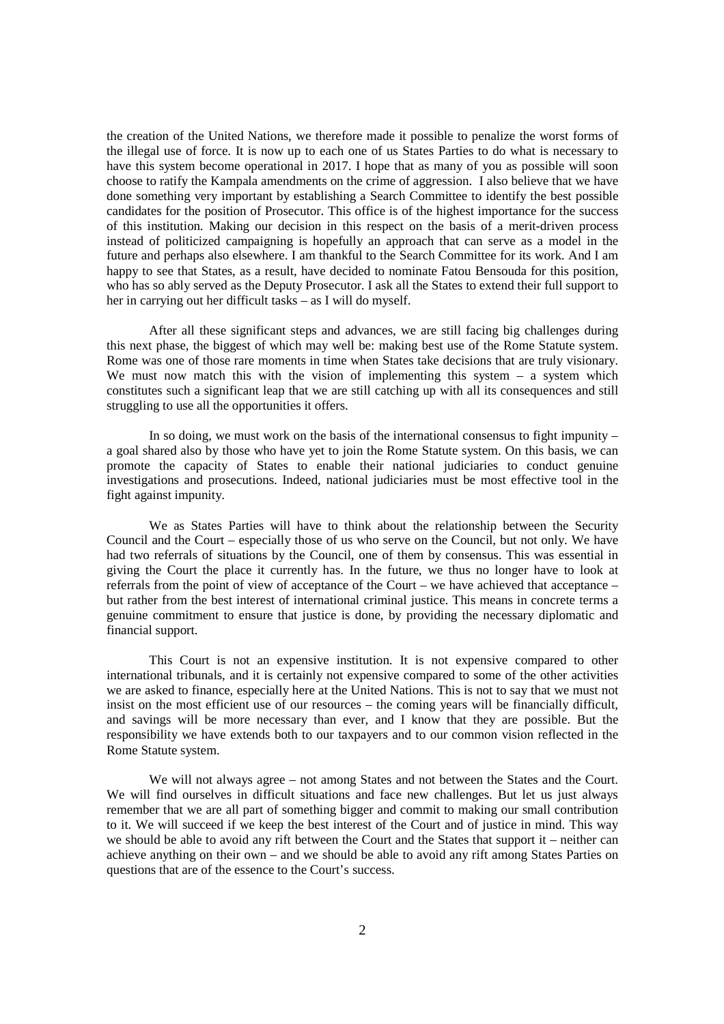the creation of the United Nations, we therefore made it possible to penalize the worst forms of the illegal use of force. It is now up to each one of us States Parties to do what is necessary to have this system become operational in 2017. I hope that as many of you as possible will soon choose to ratify the Kampala amendments on the crime of aggression. I also believe that we have done something very important by establishing a Search Committee to identify the best possible candidates for the position of Prosecutor. This office is of the highest importance for the success of this institution. Making our decision in this respect on the basis of a merit-driven process instead of politicized campaigning is hopefully an approach that can serve as a model in the future and perhaps also elsewhere. I am thankful to the Search Committee for its work. And I am happy to see that States, as a result, have decided to nominate Fatou Bensouda for this position, who has so ably served as the Deputy Prosecutor. I ask all the States to extend their full support to her in carrying out her difficult tasks – as I will do myself.

After all these significant steps and advances, we are still facing big challenges during this next phase, the biggest of which may well be: making best use of the Rome Statute system. Rome was one of those rare moments in time when States take decisions that are truly visionary. We must now match this with the vision of implementing this system – a system which constitutes such a significant leap that we are still catching up with all its consequences and still struggling to use all the opportunities it offers.

In so doing, we must work on the basis of the international consensus to fight impunity – a goal shared also by those who have yet to join the Rome Statute system. On this basis, we can promote the capacity of States to enable their national judiciaries to conduct genuine investigations and prosecutions. Indeed, national judiciaries must be most effective tool in the fight against impunity.

We as States Parties will have to think about the relationship between the Security Council and the Court – especially those of us who serve on the Council, but not only. We have had two referrals of situations by the Council, one of them by consensus. This was essential in giving the Court the place it currently has. In the future, we thus no longer have to look at referrals from the point of view of acceptance of the Court – we have achieved that acceptance – but rather from the best interest of international criminal justice. This means in concrete terms a genuine commitment to ensure that justice is done, by providing the necessary diplomatic and financial support.

This Court is not an expensive institution. It is not expensive compared to other international tribunals, and it is certainly not expensive compared to some of the other activities we are asked to finance, especially here at the United Nations. This is not to say that we must not insist on the most efficient use of our resources – the coming years will be financially difficult, and savings will be more necessary than ever, and I know that they are possible. But the responsibility we have extends both to our taxpayers and to our common vision reflected in the Rome Statute system.

We will not always agree – not among States and not between the States and the Court. We will find ourselves in difficult situations and face new challenges. But let us just always remember that we are all part of something bigger and commit to making our small contribution to it. We will succeed if we keep the best interest of the Court and of justice in mind. This way we should be able to avoid any rift between the Court and the States that support it – neither can achieve anything on their own – and we should be able to avoid any rift among States Parties on questions that are of the essence to the Court's success.